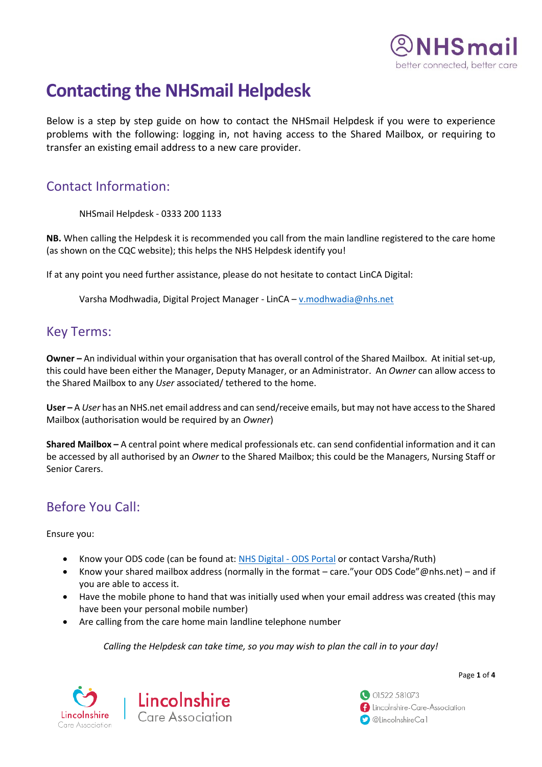

# **Contacting the NHSmail Helpdesk**

Below is a step by step guide on how to contact the NHSmail Helpdesk if you were to experience problems with the following: logging in, not having access to the Shared Mailbox, or requiring to transfer an existing email address to a new care provider.

### Contact Information:

NHSmail Helpdesk - 0333 200 1133

**NB.** When calling the Helpdesk it is recommended you call from the main landline registered to the care home (as shown on the CQC website); this helps the NHS Helpdesk identify you!

If at any point you need further assistance, please do not hesitate to contact LinCA Digital:

Varsha Modhwadia, Digital Project Manager - LinCA – [v.modhwadia@nhs.net](mailto:v.modhwadia@nhs.net)

# Key Terms:

**Owner –** An individual within your organisation that has overall control of the Shared Mailbox. At initial set-up, this could have been either the Manager, Deputy Manager, or an Administrator. An *Owner* can allow access to the Shared Mailbox to any *User* associated/ tethered to the home.

**User –** A *User* has an NHS.net email address and can send/receive emails, but may not have access to the Shared Mailbox (authorisation would be required by an *Owner*)

**Shared Mailbox –** A central point where medical professionals etc. can send confidential information and it can be accessed by all authorised by an *Owner* to the Shared Mailbox; this could be the Managers, Nursing Staff or Senior Carers.

# Before You Call:

Ensure you:

- Know your ODS code (can be found at: [NHS Digital -](https://odsportal.digital.nhs.uk/Organisation/Search) ODS Portal or contact Varsha/Ruth)
- Know your shared mailbox address (normally in the format care."your ODS Code"@nhs.net) and if you are able to access it.
- Have the mobile phone to hand that was initially used when your email address was created (this may have been your personal mobile number)
- Are calling from the care home main landline telephone number

*Calling the Helpdesk can take time, so you may wish to plan the call in to your day!*





01522 581073 **A** Lincolnshire-Care-Association **O** @LincoInshireCal

Page **1** of **4**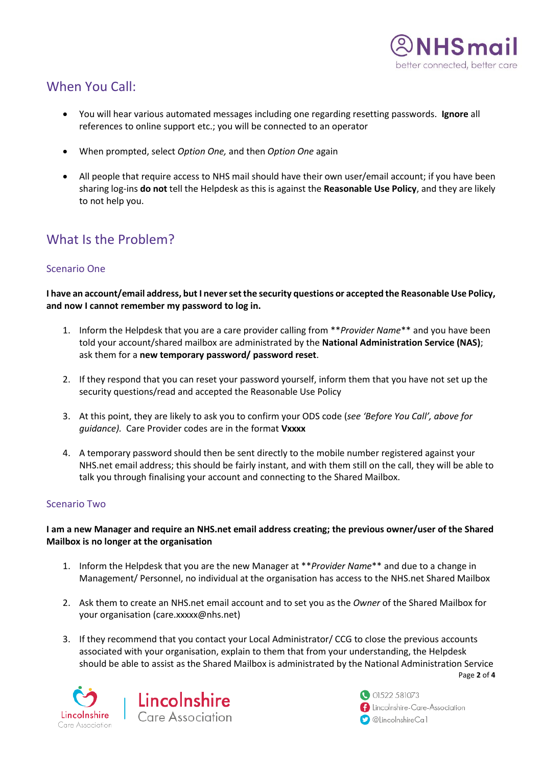

# When You Call:

- You will hear various automated messages including one regarding resetting passwords. **Ignore** all references to online support etc.; you will be connected to an operator
- When prompted, select *Option One,* and then *Option One* again
- All people that require access to NHS mail should have their own user/email account; if you have been sharing log-ins **do not** tell the Helpdesk as this is against the **Reasonable Use Policy**, and they are likely to not help you.

### What Is the Problem?

#### Scenario One

**I have an account/email address, but I never set the security questions or accepted the Reasonable Use Policy, and now I cannot remember my password to log in.**

- 1. Inform the Helpdesk that you are a care provider calling from \*\**Provider Name*\*\* and you have been told your account/shared mailbox are administrated by the **National Administration Service (NAS)**; ask them for a **new temporary password/ password reset**.
- 2. If they respond that you can reset your password yourself, inform them that you have not set up the security questions/read and accepted the Reasonable Use Policy
- 3. At this point, they are likely to ask you to confirm your ODS code (*see 'Before You Call', above for guidance).* Care Provider codes are in the format **Vxxxx**
- 4. A temporary password should then be sent directly to the mobile number registered against your NHS.net email address; this should be fairly instant, and with them still on the call, they will be able to talk you through finalising your account and connecting to the Shared Mailbox.

#### Scenario Two

#### **I am a new Manager and require an NHS.net email address creating; the previous owner/user of the Shared Mailbox is no longer at the organisation**

- 1. Inform the Helpdesk that you are the new Manager at \*\**Provider Name*\*\* and due to a change in Management/ Personnel, no individual at the organisation has access to the NHS.net Shared Mailbox
- 2. Ask them to create an NHS.net email account and to set you as the *Owner* of the Shared Mailbox for your organisation (care.xxxxx@nhs.net)
- Page **2** of **4** 3. If they recommend that you contact your Local Administrator/ CCG to close the previous accounts associated with your organisation, explain to them that from your understanding, the Helpdesk should be able to assist as the Shared Mailbox is administrated by the National Administration Service





01522 581073 **A** Lincolnshire-Care-Association **O** @LincoInshireCal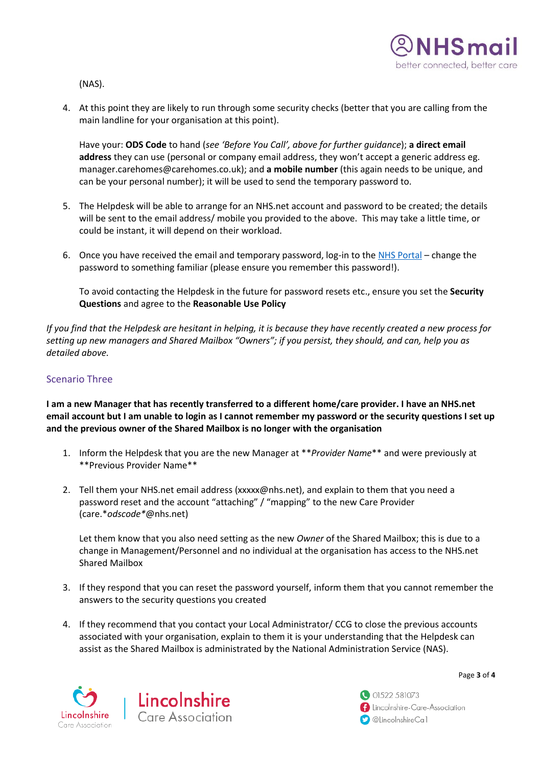

(NAS).

4. At this point they are likely to run through some security checks (better that you are calling from the main landline for your organisation at this point).

Have your: **ODS Code** to hand (*see 'Before You Call', above for further guidance*); **a direct email address** they can use (personal or company email address, they won't accept a generic address eg. manager.carehomes@carehomes.co.uk); and **a mobile number** (this again needs to be unique, and can be your personal number); it will be used to send the temporary password to.

- 5. The Helpdesk will be able to arrange for an NHS.net account and password to be created; the details will be sent to the email address/ mobile you provided to the above. This may take a little time, or could be instant, it will depend on their workload.
- 6. Once you have received the email and temporary password, log-in to the [NHS Portal](https://portal.nhs.net/) change the password to something familiar (please ensure you remember this password!).

To avoid contacting the Helpdesk in the future for password resets etc., ensure you set the **Security Questions** and agree to the **Reasonable Use Policy**

*If you find that the Helpdesk are hesitant in helping, it is because they have recently created a new process for setting up new managers and Shared Mailbox "Owners"; if you persist, they should, and can, help you as detailed above.*

#### Scenario Three

**I am a new Manager that has recently transferred to a different home/care provider. I have an NHS.net email account but I am unable to login as I cannot remember my password or the security questions I set up and the previous owner of the Shared Mailbox is no longer with the organisation**

- 1. Inform the Helpdesk that you are the new Manager at \*\**Provider Name*\*\* and were previously at \*\*Previous Provider Name\*\*
- 2. Tell them your NHS.net email address (xxxxx@nhs.net), and explain to them that you need a password reset and the account "attaching" / "mapping" to the new Care Provider (care.\**odscode\**@nhs.net)

Let them know that you also need setting as the new *Owner* of the Shared Mailbox; this is due to a change in Management/Personnel and no individual at the organisation has access to the NHS.net Shared Mailbox

- 3. If they respond that you can reset the password yourself, inform them that you cannot remember the answers to the security questions you created
- 4. If they recommend that you contact your Local Administrator/ CCG to close the previous accounts associated with your organisation, explain to them it is your understanding that the Helpdesk can assist as the Shared Mailbox is administrated by the National Administration Service (NAS).





01522 581073 **A** Lincolnshire-Care-Association **O** @LincoInshireCal

Page **3** of **4**